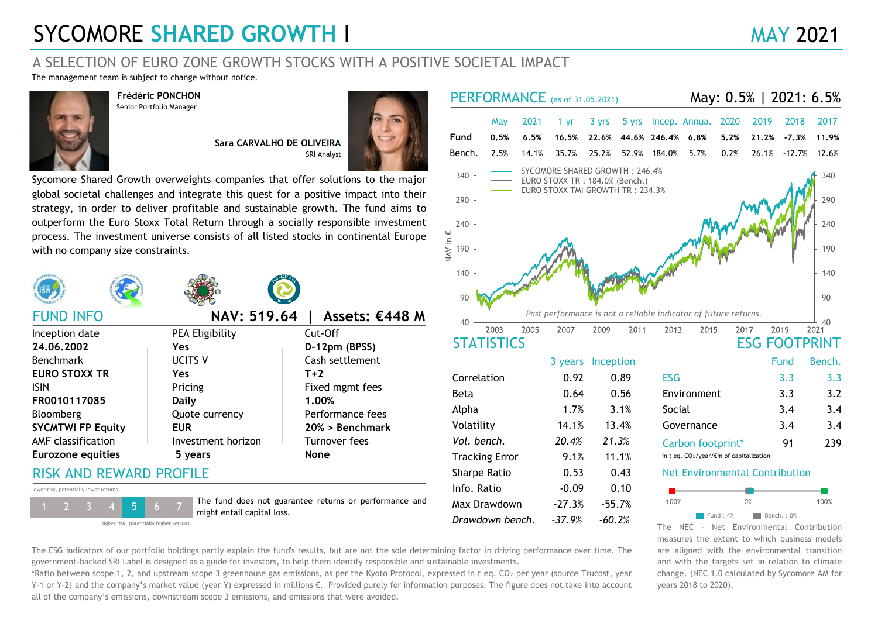## **SYCOMORE SHARED GROWTH I MAY 2021**

### A SELECTION OF EURO ZONE GROWTH STOCKS WITH A POSITIVE SOCIETAL IMPACT

The management team is subject to change without notice.



**Frédéric PONCHON** Senior Portfolio Manager

> **Sara CARVALHO DE OLIVEIRA** SRI Analyst



Sycomore Shared Growth overweights companies that offer solutions to the major global societal challenges and integrate this quest for a positive impact into their strategy, in order to deliver profitable and sustainable growth. The fund aims to outperform the Euro Stoxx Total Return through a socially responsible investment process. The investment universe consists of all listed stocks in continental Europe with no company size constraints.









**Daily 1.00%** ISIN Pricing Pricing Fixed mgmt fees Beta 0.64 0.56 Environment 3.3<br>**FR0010117085 Daily 1.00%** Pricing 1.00% **EUR 20% > Benchmark SYCMTWI FP Equity** Bloomberg **Quote currency** Performance fees FUND INFO **NAV: 519.64 | Assets: €448 M** *Past performance is not a reliable indicator of future returns.*  Inception date PEA Eligibility Cut-Off Benchmark AMF classification **Investment horizon** Turnover fees **Eurozone equities 5 years None**

## RISK AND REWARD PROFILE





The fund does not guarantee returns or performance and Max Drawdown -27.3% -55.7% - 1 2 3 4 5 6 7 Max Drawdown -27.3% - 55.7%



years 2018 to 2020).

measures the extent to which business models are aligned with the environmental transition and with the targets set in relation to climate change. (NEC 1.0 calculated by Sycomore AM for The ESG indicators of our portfolio holdings partly explain the fund's results, but are not the sole determining factor in driving performance over time. The government-backed SRI Label is designed as a guide for investors, to help them identify responsible and sustainable investments.

\*Ratio between scope 1, 2, and upstream scope 3 greenhouse gas emissions, as per the Kyoto Protocol, expressed in t eq. CO₂ per year (source Trucost, year Y-1 or Y-2) and the company's market value (year Y) expressed in millions €. Provided purely for information purposes. The figure does not take into account all of the company's emissions, downstream scope 3 emissions, and emissions that were avoided.